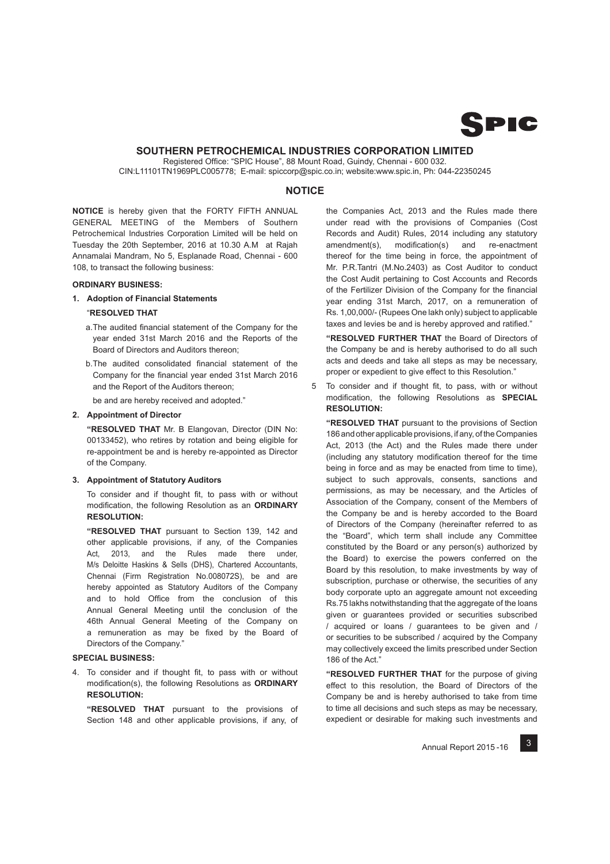

# **SOUTHERN PETROCHEMICAL INDUSTRIES CORPORATION LIMITED**

Registered Office: "SPIC House", 88 Mount Road, Guindy, Chennai - 600 032. CIN:L11101TN1969PLC005778; E-mail: spiccorp@spic.co.in; website:www.spic.in, Ph: 044-22350245

# **NOTICE**

**NOTICE** is hereby given that the FORTY FIFTH ANNUAL GENERAL MEETING of the Members of Southern Petrochemical Industries Corporation Limited will be held on Tuesday the 20th September, 2016 at 10.30 A.M at Rajah Annamalai Mandram, No 5, Esplanade Road, Chennai - 600 108, to transact the following business:

### **ORDINARY BUSINESS:**

**1. Adoption of Financial Statements**

## "**RESOLVED THAT**

- a. The audited financial statement of the Company for the year ended 31st March 2016 and the Reports of the Board of Directors and Auditors thereon;
- b. The audited consolidated financial statement of the Company for the financial year ended 31st March 2016 and the Report of the Auditors thereon;

be and are hereby received and adopted."

### **2. Appointment of Director**

 **"RESOLVED THAT** Mr. B Elangovan, Director (DIN No: 00133452), who retires by rotation and being eligible for re-appointment be and is hereby re-appointed as Director of the Company.

### **3. Appointment of Statutory Auditors**

To consider and if thought fit, to pass with or without modification, the following Resolution as an ORDINARY **RESOLUTION:**

 **"RESOLVED THAT** pursuant to Section 139, 142 and other applicable provisions, if any, of the Companies Act. 2013, and the Rules made there under. M/s Deloitte Haskins & Sells (DHS), Chartered Accountants, Chennai (Firm Registration No.008072S), be and are hereby appointed as Statutory Auditors of the Company and to hold Office from the conclusion of this Annual General Meeting until the conclusion of the 46th Annual General Meeting of the Company on a remuneration as may be fixed by the Board of Directors of the Company."

# **SPECIAL BUSINESS:**

4. To consider and if thought fit, to pass with or without modification(s), the following Resolutions as **ORDINARY RESOLUTION:**

 **"RESOLVED THAT** pursuant to the provisions of Section 148 and other applicable provisions, if any, of

the Companies Act, 2013 and the Rules made there under read with the provisions of Companies (Cost Records and Audit) Rules, 2014 including any statutory  $a$ mendment(s), modification(s) and re-enactment thereof for the time being in force, the appointment of Mr. P.R.Tantri (M.No.2403) as Cost Auditor to conduct the Cost Audit pertaining to Cost Accounts and Records of the Fertilizer Division of the Company for the financial year ending 31st March, 2017, on a remuneration of Rs. 1,00,000/- (Rupees One lakh only) subject to applicable taxes and levies be and is hereby approved and ratified."

 **"RESOLVED FURTHER THAT** the Board of Directors of the Company be and is hereby authorised to do all such acts and deeds and take all steps as may be necessary, proper or expedient to give effect to this Resolution."

5 To consider and if thought fit, to pass, with or without modification, the following Resolutions as **SPECIAL RESOLUTION:**

 **"RESOLVED THAT** pursuant to the provisions of Section 186 and other applicable provisions, if any, of the Companies Act, 2013 (the Act) and the Rules made there under (including any statutory modification thereof for the time being in force and as may be enacted from time to time), subject to such approvals, consents, sanctions and permissions, as may be necessary, and the Articles of Association of the Company, consent of the Members of the Company be and is hereby accorded to the Board of Directors of the Company (hereinafter referred to as the "Board", which term shall include any Committee constituted by the Board or any person(s) authorized by the Board) to exercise the powers conferred on the Board by this resolution, to make investments by way of subscription, purchase or otherwise, the securities of any body corporate upto an aggregate amount not exceeding Rs.75 lakhs notwithstanding that the aggregate of the loans given or guarantees provided or securities subscribed / acquired or loans / guarantees to be given and / or securities to be subscribed / acquired by the Company may collectively exceed the limits prescribed under Section 186 of the Act."

 **"RESOLVED FURTHER THAT** for the purpose of giving effect to this resolution, the Board of Directors of the Company be and is hereby authorised to take from time to time all decisions and such steps as may be necessary, expedient or desirable for making such investments and

3 Annual Report 2015 -16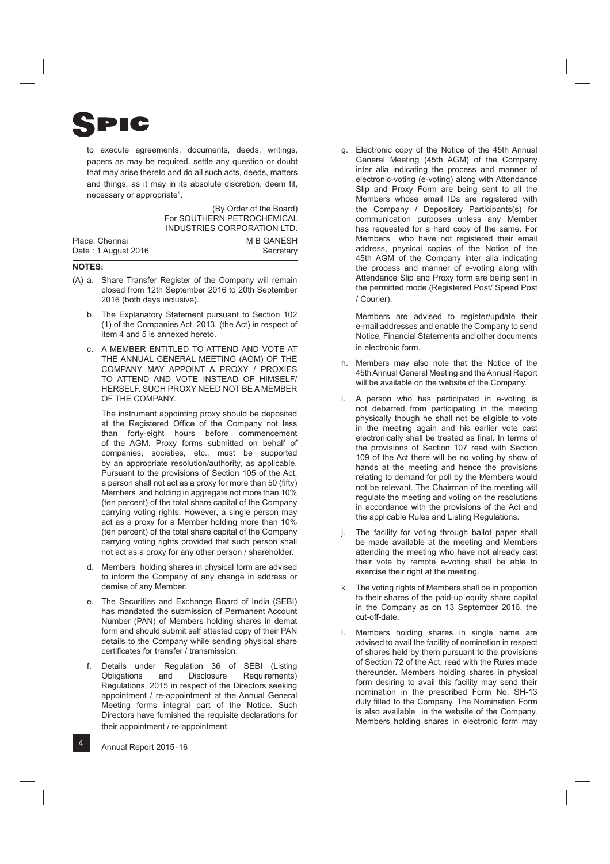

to execute agreements, documents, deeds, writings, papers as may be required, settle any question or doubt that may arise thereto and do all such acts, deeds, matters and things, as it may in its absolute discretion, deem fit, necessary or appropriate".

(By Order of the Board) For SOUTHERN PETROCHEMICAL INDUSTRIES CORPORATION LTD. Place: Chennai Date : 1 August 2016 M B GANESH **Secretary** 

### **NOTES:**

- (A) a. Share Transfer Register of the Company will remain closed from 12th September 2016 to 20th September 2016 (both days inclusive).
	- b. The Explanatory Statement pursuant to Section 102 (1) of the Companies Act, 2013, (the Act) in respect of item 4 and 5 is annexed hereto.
	- c. A MEMBER ENTITLED TO ATTEND AND VOTE AT THE ANNUAL GENERAL MEETING (AGM) OF THE COMPANY MAY APPOINT A PROXY / PROXIES TO ATTEND AND VOTE INSTEAD OF HIMSELF/ HERSELF. SUCH PROXY NEED NOT BE A MEMBER OF THE COMPANY.

 The instrument appointing proxy should be deposited at the Registered Office of the Company not less than forty-eight hours before commencement of the AGM. Proxy forms submitted on behalf of companies, societies, etc., must be supported by an appropriate resolution/authority, as applicable. Pursuant to the provisions of Section 105 of the Act, a person shall not act as a proxy for more than 50 (fifty) Members and holding in aggregate not more than 10% (ten percent) of the total share capital of the Company carrying voting rights. However, a single person may act as a proxy for a Member holding more than 10% (ten percent) of the total share capital of the Company carrying voting rights provided that such person shall not act as a proxy for any other person / shareholder.

- d. Members holding shares in physical form are advised to inform the Company of any change in address or demise of any Member.
- e. The Securities and Exchange Board of India (SEBI) has mandated the submission of Permanent Account Number (PAN) of Members holding shares in demat form and should submit self attested copy of their PAN details to the Company while sending physical share certificates for transfer / transmission.
- f. Details under Regulation 36 of SEBI (Listing Obligations and Disclosure Requirements) Regulations, 2015 in respect of the Directors seeking appointment / re-appointment at the Annual General Meeting forms integral part of the Notice. Such Directors have furnished the requisite declarations for their appointment / re-appointment.

 g. Electronic copy of the Notice of the 45th Annual General Meeting (45th AGM) of the Company inter alia indicating the process and manner of electronic-voting (e-voting) along with Attendance Slip and Proxy Form are being sent to all the Members whose email IDs are registered with the Company / Depository Participants(s) for communication purposes unless any Member has requested for a hard copy of the same. For Members who have not registered their email address, physical copies of the Notice of the 45th AGM of the Company inter alia indicating the process and manner of e-voting along with Attendance Slip and Proxy form are being sent in the permitted mode (Registered Post/ Speed Post / Courier).

 Members are advised to register/update their e-mail addresses and enable the Company to send Notice, Financial Statements and other documents in electronic form.

- h. Members may also note that the Notice of the 45th Annual General Meeting and the Annual Report will be available on the website of the Company.
- A person who has participated in e-voting is not debarred from participating in the meeting physically though he shall not be eligible to vote in the meeting again and his earlier vote cast electronically shall be treated as final. In terms of the provisions of Section 107 read with Section 109 of the Act there will be no voting by show of hands at the meeting and hence the provisions relating to demand for poll by the Members would not be relevant. The Chairman of the meeting will regulate the meeting and voting on the resolutions in accordance with the provisions of the Act and the applicable Rules and Listing Regulations.
- The facility for voting through ballot paper shall be made available at the meeting and Members attending the meeting who have not already cast their vote by remote e-voting shall be able to exercise their right at the meeting.
- k. The voting rights of Members shall be in proportion to their shares of the paid-up equity share capital in the Company as on 13 September 2016, the cut-off-date.
- Members holding shares in single name are advised to avail the facility of nomination in respect of shares held by them pursuant to the provisions of Section 72 of the Act, read with the Rules made thereunder. Members holding shares in physical form desiring to avail this facility may send their nomination in the prescribed Form No. SH-13 duly filled to the Company. The Nomination Form is also available in the website of the Company. Members holding shares in electronic form may

4 Annual Report 2015 -16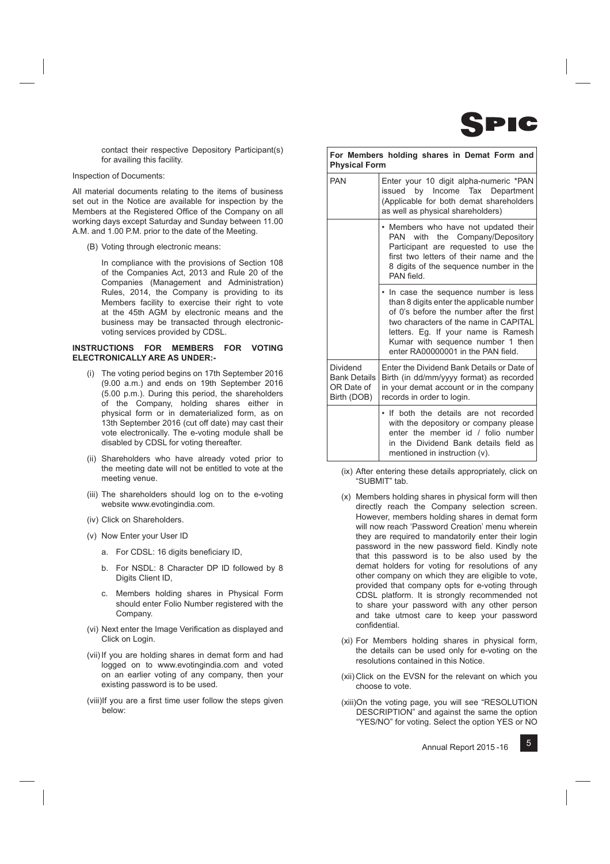

contact their respective Depository Participant(s) for availing this facility.

## Inspection of Documents:

All material documents relating to the items of business set out in the Notice are available for inspection by the Members at the Registered Office of the Company on all working days except Saturday and Sunday between 11.00 A.M. and 1.00 P.M. prior to the date of the Meeting.

(B) Voting through electronic means:

 In compliance with the provisions of Section 108 of the Companies Act, 2013 and Rule 20 of the Companies (Management and Administration) Rules, 2014, the Company is providing to its Members facility to exercise their right to vote at the 45th AGM by electronic means and the business may be transacted through electronicvoting services provided by CDSL.

### **INSTRUCTIONS FOR MEMBERS FOR VOTING ELECTRONICALLY ARE AS UNDER:-**

- (i) The voting period begins on 17th September 2016 (9.00 a.m.) and ends on 19th September 2016 (5.00 p.m.). During this period, the shareholders of the Company, holding shares either in physical form or in dematerialized form, as on 13th September 2016 (cut off date) may cast their vote electronically. The e-voting module shall be disabled by CDSL for voting thereafter.
- (ii) Shareholders who have already voted prior to the meeting date will not be entitled to vote at the meeting venue.
- (iii) The shareholders should log on to the e-voting website www.evotingindia.com.
- (iv) Click on Shareholders.
- (v) Now Enter your User ID
	- a. For CDSL: 16 digits beneficiary ID,
	- b. For NSDL: 8 Character DP ID followed by 8 Digits Client ID,
	- c. Members holding shares in Physical Form should enter Folio Number registered with the Company.
- (vi) Next enter the Image Verification as displayed and Click on Login.
- (vii) If you are holding shares in demat form and had logged on to www.evotingindia.com and voted on an earlier voting of any company, then your existing password is to be used.
- (viii) If you are a first time user follow the steps given below:

| <b>Physical Form</b>                                         | For Members holding shares in Demat Form and                                                                                                                                                                                                                                              |
|--------------------------------------------------------------|-------------------------------------------------------------------------------------------------------------------------------------------------------------------------------------------------------------------------------------------------------------------------------------------|
| <b>PAN</b>                                                   | Enter your 10 digit alpha-numeric *PAN<br>by Income Tax Department<br>issued<br>(Applicable for both demat shareholders<br>as well as physical shareholders)                                                                                                                              |
|                                                              | • Members who have not updated their<br>PAN with the Company/Depository<br>Participant are requested to use the<br>first two letters of their name and the<br>8 digits of the sequence number in the<br>PAN field                                                                         |
|                                                              | • In case the sequence number is less<br>than 8 digits enter the applicable number<br>of 0's before the number after the first<br>two characters of the name in CAPITAL<br>letters. Eg. If your name is Ramesh<br>Kumar with sequence number 1 then<br>enter RA00000001 in the PAN field. |
| Dividend<br><b>Bank Details</b><br>OR Date of<br>Birth (DOB) | Enter the Dividend Bank Details or Date of<br>Birth (in dd/mm/yyyy format) as recorded<br>in your demat account or in the company<br>records in order to login.                                                                                                                           |
|                                                              | . If both the details are not recorded<br>with the depository or company please<br>enter the member id / folio number<br>in the Dividend Bank details field as<br>mentioned in instruction (v).                                                                                           |

- (ix) After entering these details appropriately, click on "SUBMIT" tab.
- (x) Members holding shares in physical form will then directly reach the Company selection screen. However, members holding shares in demat form will now reach 'Password Creation' menu wherein they are required to mandatorily enter their login password in the new password field. Kindly note that this password is to be also used by the demat holders for voting for resolutions of any other company on which they are eligible to vote, provided that company opts for e-voting through CDSL platform. It is strongly recommended not to share your password with any other person and take utmost care to keep your password confidential.
- (xi) For Members holding shares in physical form, the details can be used only for e-voting on the resolutions contained in this Notice.
- (xii) Click on the EVSN for the relevant on which you choose to vote.
- (xiii) On the voting page, you will see "RESOLUTION DESCRIPTION" and against the same the option "YES/NO" for voting. Select the option YES or NO

5 Annual Report 2015 -16

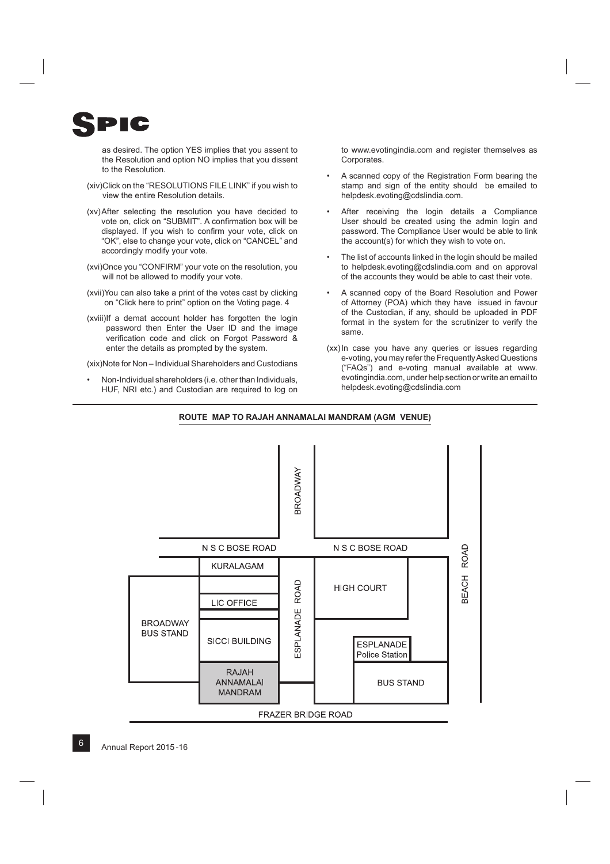

as desired. The option YES implies that you assent to the Resolution and option NO implies that you dissent to the Resolution.

- (xiv) Click on the "RESOLUTIONS FILE LINK" if you wish to view the entire Resolution details.
- (xv) After selecting the resolution you have decided to vote on, click on "SUBMIT". A confirmation box will be displayed. If you wish to confirm your vote, click on "OK", else to change your vote, click on "CANCEL" and accordingly modify your vote.
- (xvi) Once you "CONFIRM" your vote on the resolution, you will not be allowed to modify your vote.
- (xvii) You can also take a print of the votes cast by clicking on "Click here to print" option on the Voting page. 4
- (xviii) If a demat account holder has forgotten the login password then Enter the User ID and the image verification code and click on Forgot Password & enter the details as prompted by the system.

(xix) Note for Non – Individual Shareholders and Custodians

 • Non-Individual shareholders (i.e. other than Individuals, HUF, NRI etc.) and Custodian are required to log on to www.evotingindia.com and register themselves as Corporates.

- A scanned copy of the Registration Form bearing the stamp and sign of the entity should be emailed to helpdesk.evoting@cdslindia.com.
- After receiving the login details a Compliance User should be created using the admin login and password. The Compliance User would be able to link the account(s) for which they wish to vote on.
- The list of accounts linked in the login should be mailed to helpdesk.evoting@cdslindia.com and on approval of the accounts they would be able to cast their vote.
- A scanned copy of the Board Resolution and Power of Attorney (POA) which they have issued in favour of the Custodian, if any, should be uploaded in PDF format in the system for the scrutinizer to verify the same.
- (xx) In case you have any queries or issues regarding e-voting, you may refer the Frequently Asked Questions ("FAQs") and e-voting manual available at www. evotingindia.com, under help section or write an email to helpdesk.evoting@cdslindia.com



### **ROUTE MAP TO RAJAH ANNAMALAI MANDRAM (AGM VENUE)**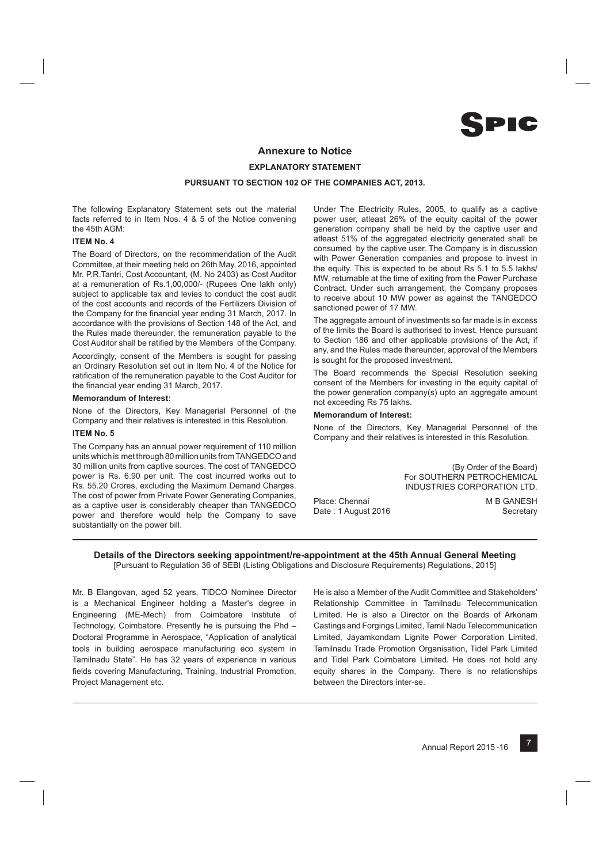**PIC** 

# **Annexure to Notice EXPLANATORY STATEMENT PURSUANT TO SECTION 102 OF THE COMPANIES ACT, 2013.**

The following Explanatory Statement sets out the material facts referred to in Item Nos. 4 & 5 of the Notice convening the 45th AGM:

## **ITEM No. 4**

The Board of Directors, on the recommendation of the Audit Committee, at their meeting held on 26th May, 2016, appointed Mr. P.R.Tantri, Cost Accountant, (M. No 2403) as Cost Auditor at a remuneration of Rs.1,00,000/- (Rupees One lakh only) subject to applicable tax and levies to conduct the cost audit of the cost accounts and records of the Fertilizers Division of the Company for the financial year ending 31 March, 2017. In accordance with the provisions of Section 148 of the Act, and the Rules made thereunder, the remuneration payable to the Cost Auditor shall be ratified by the Members of the Company.

Accordingly, consent of the Members is sought for passing an Ordinary Resolution set out in Item No. 4 of the Notice for ratification of the remuneration payable to the Cost Auditor for the financial year ending 31 March, 2017.

### **Memorandum of Interest:**

None of the Directors, Key Managerial Personnel of the Company and their relatives is interested in this Resolution.

#### **ITEM No. 5**

The Company has an annual power requirement of 110 million units which is met through 80 million units from TANGEDCO and 30 million units from captive sources. The cost of TANGEDCO power is Rs. 6.90 per unit. The cost incurred works out to Rs. 55.20 Crores, excluding the Maximum Demand Charges. The cost of power from Private Power Generating Companies, as a captive user is considerably cheaper than TANGEDCO power and therefore would help the Company to save substantially on the power bill.

Under The Electricity Rules, 2005, to qualify as a captive power user, atleast 26% of the equity capital of the power generation company shall be held by the captive user and atleast 51% of the aggregated electricity generated shall be consumed by the captive user. The Company is in discussion with Power Generation companies and propose to invest in the equity. This is expected to be about Rs 5.1 to 5.5 lakhs/ MW, returnable at the time of exiting from the Power Purchase Contract. Under such arrangement, the Company proposes to receive about 10 MW power as against the TANGEDCO sanctioned power of 17 MW.

The aggregate amount of investments so far made is in excess of the limits the Board is authorised to invest. Hence pursuant to Section 186 and other applicable provisions of the Act, if any, and the Rules made thereunder, approval of the Members is sought for the proposed investment.

The Board recommends the Special Resolution seeking consent of the Members for investing in the equity capital of the power generation company(s) upto an aggregate amount not exceeding Rs 75 lakhs.

### **Memorandum of Interest:**

None of the Directors, Key Managerial Personnel of the Company and their relatives is interested in this Resolution.

> (By Order of the Board) For SOUTHERN PETROCHEMICAL INDUSTRIES CORPORATION LTD. M B GANESH

Place: Chennai Date : 1 August 2016

**Secretary** 

## **Details of the Directors seeking appointment/re-appointment at the 45th Annual General Meeting** [Pursuant to Regulation 36 of SEBI (Listing Obligations and Disclosure Requirements) Regulations, 2015]

Mr. B Elangovan, aged 52 years, TIDCO Nominee Director is a Mechanical Engineer holding a Master's degree in Engineering (ME-Mech) from Coimbatore Institute of Technology, Coimbatore. Presently he is pursuing the Phd – Doctoral Programme in Aerospace, "Application of analytical tools in building aerospace manufacturing eco system in Tamilnadu State". He has 32 years of experience in various fields covering Manufacturing, Training, Industrial Promotion, Project Management etc.

He is also a Member of the Audit Committee and Stakeholders' Relationship Committee in Tamilnadu Telecommunication Limited. He is also a Director on the Boards of Arkonam Castings and Forgings Limited, Tamil Nadu Telecommunication Limited, Jayamkondam Lignite Power Corporation Limited, Tamilnadu Trade Promotion Organisation, Tidel Park Limited and Tidel Park Coimbatore Limited. He does not hold any equity shares in the Company. There is no relationships between the Directors inter-se.

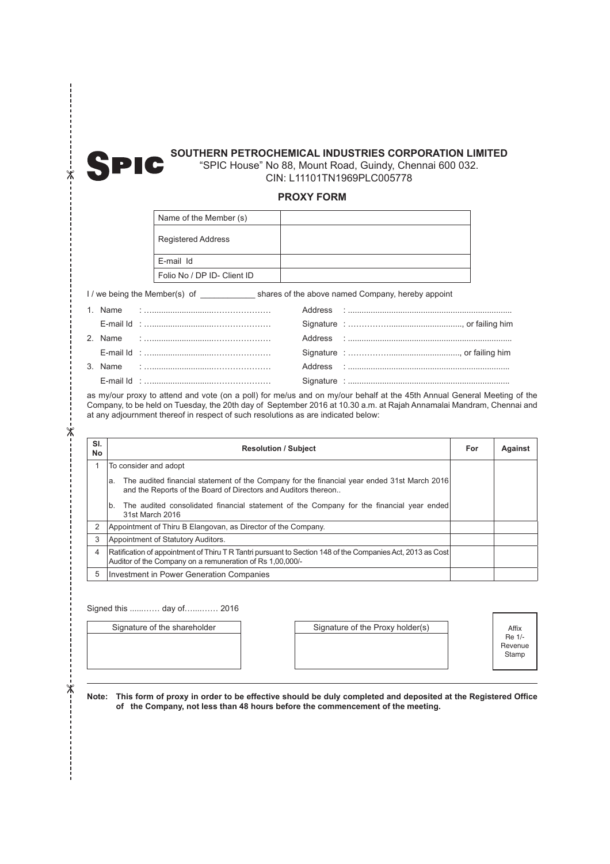

--<br>\*-

--------------

# **SOUTHERN PETROCHEMICAL INDUSTRIES CORPORATION LIMITED**

"SPIC House" No 88, Mount Road, Guindy, Chennai 600 032. CIN: L11101TN1969PLC005778

# **PROXY FORM**

| Name of the Member (s)      |  |
|-----------------------------|--|
| <b>Registered Address</b>   |  |
| E-mail Id                   |  |
| Folio No / DP ID- Client ID |  |

I / we being the Member(s) of \_\_\_\_\_\_\_\_\_\_\_\_ shares of the above named Company, hereby appoint

|  | E-mail Id :…………………………………………… |                                                                                                                                                                                                                                |
|--|------------------------------|--------------------------------------------------------------------------------------------------------------------------------------------------------------------------------------------------------------------------------|
|  |                              |                                                                                                                                                                                                                                |
|  | E-mail Id :…………………………………………… |                                                                                                                                                                                                                                |
|  |                              | Address and the contract of the contract of the contract of the contract of the contract of the contract of the contract of the contract of the contract of the contract of the contract of the contract of the contract of th |
|  |                              |                                                                                                                                                                                                                                |

as my/our proxy to attend and vote (on a poll) for me/us and on my/our behalf at the 45th Annual General Meeting of the Company, to be held on Tuesday, the 20th day of September 2016 at 10.30 a.m. at Rajah Annamalai Mandram, Chennai and at any adjournment thereof in respect of such resolutions as are indicated below:

| SI.<br>No      | <b>Resolution / Subject</b>                                                                                                                                             |  | Against |
|----------------|-------------------------------------------------------------------------------------------------------------------------------------------------------------------------|--|---------|
| 1              | To consider and adopt                                                                                                                                                   |  |         |
|                | The audited financial statement of the Company for the financial year ended 31st March 2016<br>a.<br>and the Reports of the Board of Directors and Auditors thereon     |  |         |
|                | The audited consolidated financial statement of the Company for the financial year ended<br>b.<br>31st March 2016                                                       |  |         |
| $\overline{2}$ | Appointment of Thiru B Elangovan, as Director of the Company.                                                                                                           |  |         |
| 3              | Appointment of Statutory Auditors.                                                                                                                                      |  |         |
| 4              | Ratification of appointment of Thiru T R Tantri pursuant to Section 148 of the Companies Act, 2013 as Cost<br>Auditor of the Company on a remuneration of Rs 1,00,000/- |  |         |
| 5              | Investment in Power Generation Companies                                                                                                                                |  |         |

Signed this ......…… day of…....…… 2016

Signature of the shareholder Signature of the Proxy holder(s)

Affix Re 1/- Revenue Stamp

Note: This form of proxy in order to be effective should be duly completed and deposited at the Registered Office **of the Company, not less than 48 hours before the commencement of the meeting.**